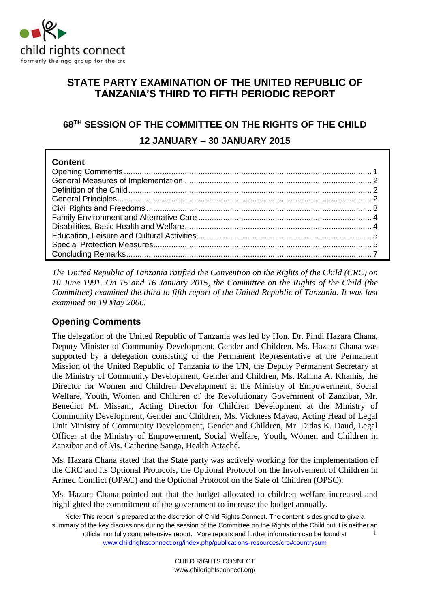

## **STATE PARTY EXAMINATION OF THE UNITED REPUBLIC OF TANZANIA'S THIRD TO FIFTH PERIODIC REPORT**

# **68TH SESSION OF THE COMMITTEE ON THE RIGHTS OF THE CHILD 12 JANUARY – 30 JANUARY 2015**

| <b>Content</b> |  |
|----------------|--|
|                |  |
|                |  |
|                |  |
|                |  |
|                |  |
|                |  |
|                |  |
|                |  |
|                |  |
|                |  |

*The United Republic of Tanzania ratified the Convention on the Rights of the Child (CRC) on 10 June 1991. On 15 and 16 January 2015, the Committee on the Rights of the Child (the Committee) examined the third to fifth report of the United Republic of Tanzania. It was last examined on 19 May 2006.*

## <span id="page-0-0"></span>**Opening Comments**

The delegation of the United Republic of Tanzania was led by Hon. Dr. Pindi Hazara Chana, Deputy Minister of Community Development, Gender and Children. Ms. Hazara Chana was supported by a delegation consisting of the Permanent Representative at the Permanent Mission of the United Republic of Tanzania to the UN, the Deputy Permanent Secretary at the Ministry of Community Development, Gender and Children, Ms. Rahma A. Khamis, the Director for Women and Children Development at the Ministry of Empowerment, Social Welfare, Youth, Women and Children of the Revolutionary Government of Zanzibar, Mr. Benedict M. Missani, Acting Director for Children Development at the Ministry of Community Development, Gender and Children, Ms. Vickness Mayao, Acting Head of Legal Unit Ministry of Community Development, Gender and Children, Mr. Didas K. Daud, Legal Officer at the Ministry of Empowerment, Social Welfare, Youth, Women and Children in Zanzibar and of Ms. Catherine Sanga, Health Attaché.

Ms. Hazara Chana stated that the State party was actively working for the implementation of the CRC and its Optional Protocols, the Optional Protocol on the Involvement of Children in Armed Conflict (OPAC) and the Optional Protocol on the Sale of Children (OPSC).

Ms. Hazara Chana pointed out that the budget allocated to children welfare increased and highlighted the commitment of the government to increase the budget annually.

Note: This report is prepared at the discretion of Child Rights Connect. The content is designed to give a summary of the key discussions during the session of the Committee on the Rights of the Child but it is neither an official nor fully comprehensive report. More reports and further information can be found at [www.childrightsconnect.org/index.php/publications-resources/crc#countrysum](http://www.childrightsconnect.org/index.php/publications-resources/crc#countrysum) 1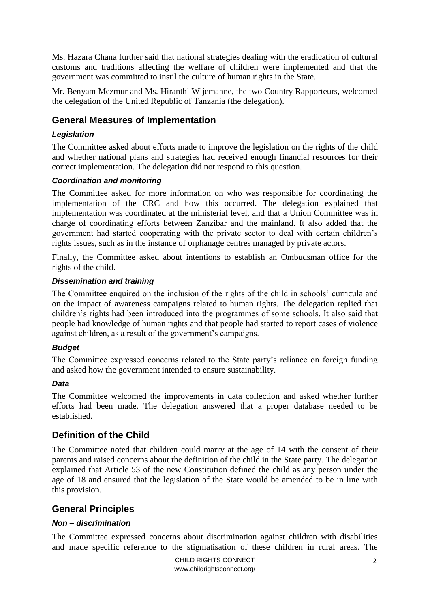Ms. Hazara Chana further said that national strategies dealing with the eradication of cultural customs and traditions affecting the welfare of children were implemented and that the government was committed to instil the culture of human rights in the State.

Mr. Benyam Mezmur and Ms. Hiranthi Wijemanne, the two Country Rapporteurs, welcomed the delegation of the United Republic of Tanzania (the delegation).

### <span id="page-1-0"></span>**General Measures of Implementation**

### *Legislation*

The Committee asked about efforts made to improve the legislation on the rights of the child and whether national plans and strategies had received enough financial resources for their correct implementation. The delegation did not respond to this question.

#### *Coordination and monitoring*

The Committee asked for more information on who was responsible for coordinating the implementation of the CRC and how this occurred. The delegation explained that implementation was coordinated at the ministerial level, and that a Union Committee was in charge of coordinating efforts between Zanzibar and the mainland. It also added that the government had started cooperating with the private sector to deal with certain children's rights issues, such as in the instance of orphanage centres managed by private actors.

Finally, the Committee asked about intentions to establish an Ombudsman office for the rights of the child.

#### *Dissemination and training*

The Committee enquired on the inclusion of the rights of the child in schools' curricula and on the impact of awareness campaigns related to human rights. The delegation replied that children's rights had been introduced into the programmes of some schools. It also said that people had knowledge of human rights and that people had started to report cases of violence against children, as a result of the government's campaigns.

#### *Budget*

The Committee expressed concerns related to the State party's reliance on foreign funding and asked how the government intended to ensure sustainability.

#### *Data*

The Committee welcomed the improvements in data collection and asked whether further efforts had been made. The delegation answered that a proper database needed to be established.

### <span id="page-1-1"></span>**Definition of the Child**

The Committee noted that children could marry at the age of 14 with the consent of their parents and raised concerns about the definition of the child in the State party. The delegation explained that Article 53 of the new Constitution defined the child as any person under the age of 18 and ensured that the legislation of the State would be amended to be in line with this provision.

### <span id="page-1-2"></span>**General Principles**

### *Non – discrimination*

The Committee expressed concerns about discrimination against children with disabilities and made specific reference to the stigmatisation of these children in rural areas. The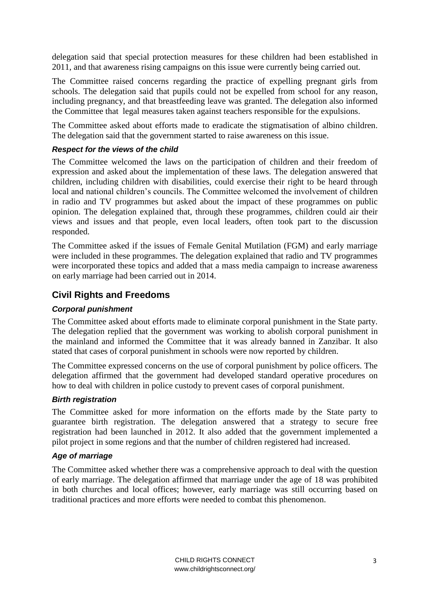delegation said that special protection measures for these children had been established in 2011, and that awareness rising campaigns on this issue were currently being carried out.

The Committee raised concerns regarding the practice of expelling pregnant girls from schools. The delegation said that pupils could not be expelled from school for any reason, including pregnancy, and that breastfeeding leave was granted. The delegation also informed the Committee that legal measures taken against teachers responsible for the expulsions.

The Committee asked about efforts made to eradicate the stigmatisation of albino children. The delegation said that the government started to raise awareness on this issue.

#### *Respect for the views of the child*

The Committee welcomed the laws on the participation of children and their freedom of expression and asked about the implementation of these laws. The delegation answered that children, including children with disabilities, could exercise their right to be heard through local and national children's councils. The Committee welcomed the involvement of children in radio and TV programmes but asked about the impact of these programmes on public opinion. The delegation explained that, through these programmes, children could air their views and issues and that people, even local leaders, often took part to the discussion responded.

The Committee asked if the issues of Female Genital Mutilation (FGM) and early marriage were included in these programmes. The delegation explained that radio and TV programmes were incorporated these topics and added that a mass media campaign to increase awareness on early marriage had been carried out in 2014.

### <span id="page-2-0"></span>**Civil Rights and Freedoms**

### *Corporal punishment*

The Committee asked about efforts made to eliminate corporal punishment in the State party. The delegation replied that the government was working to abolish corporal punishment in the mainland and informed the Committee that it was already banned in Zanzibar. It also stated that cases of corporal punishment in schools were now reported by children.

The Committee expressed concerns on the use of corporal punishment by police officers. The delegation affirmed that the government had developed standard operative procedures on how to deal with children in police custody to prevent cases of corporal punishment.

### *Birth registration*

The Committee asked for more information on the efforts made by the State party to guarantee birth registration. The delegation answered that a strategy to secure free registration had been launched in 2012. It also added that the government implemented a pilot project in some regions and that the number of children registered had increased.

#### *Age of marriage*

The Committee asked whether there was a comprehensive approach to deal with the question of early marriage. The delegation affirmed that marriage under the age of 18 was prohibited in both churches and local offices; however, early marriage was still occurring based on traditional practices and more efforts were needed to combat this phenomenon.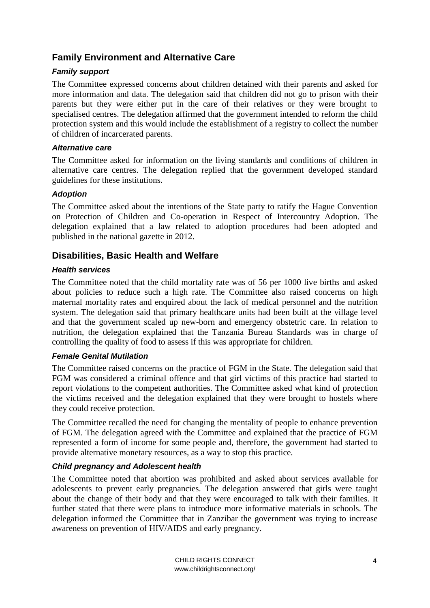## <span id="page-3-0"></span>**Family Environment and Alternative Care**

### *Family support*

The Committee expressed concerns about children detained with their parents and asked for more information and data. The delegation said that children did not go to prison with their parents but they were either put in the care of their relatives or they were brought to specialised centres. The delegation affirmed that the government intended to reform the child protection system and this would include the establishment of a registry to collect the number of children of incarcerated parents.

#### *Alternative care*

The Committee asked for information on the living standards and conditions of children in alternative care centres. The delegation replied that the government developed standard guidelines for these institutions.

### *Adoption*

The Committee asked about the intentions of the State party to ratify the Hague Convention on Protection of Children and Co-operation in Respect of Intercountry Adoption. The delegation explained that a law related to adoption procedures had been adopted and published in the national gazette in 2012.

### <span id="page-3-1"></span>**Disabilities, Basic Health and Welfare**

### *Health services*

The Committee noted that the child mortality rate was of 56 per 1000 live births and asked about policies to reduce such a high rate. The Committee also raised concerns on high maternal mortality rates and enquired about the lack of medical personnel and the nutrition system. The delegation said that primary healthcare units had been built at the village level and that the government scaled up new-born and emergency obstetric care. In relation to nutrition, the delegation explained that the Tanzania Bureau Standards was in charge of controlling the quality of food to assess if this was appropriate for children.

### *Female Genital Mutilation*

The Committee raised concerns on the practice of FGM in the State. The delegation said that FGM was considered a criminal offence and that girl victims of this practice had started to report violations to the competent authorities. The Committee asked what kind of protection the victims received and the delegation explained that they were brought to hostels where they could receive protection.

The Committee recalled the need for changing the mentality of people to enhance prevention of FGM. The delegation agreed with the Committee and explained that the practice of FGM represented a form of income for some people and, therefore, the government had started to provide alternative monetary resources, as a way to stop this practice.

### *Child pregnancy and Adolescent health*

The Committee noted that abortion was prohibited and asked about services available for adolescents to prevent early pregnancies. The delegation answered that girls were taught about the change of their body and that they were encouraged to talk with their families. It further stated that there were plans to introduce more informative materials in schools. The delegation informed the Committee that in Zanzibar the government was trying to increase awareness on prevention of HIV/AIDS and early pregnancy.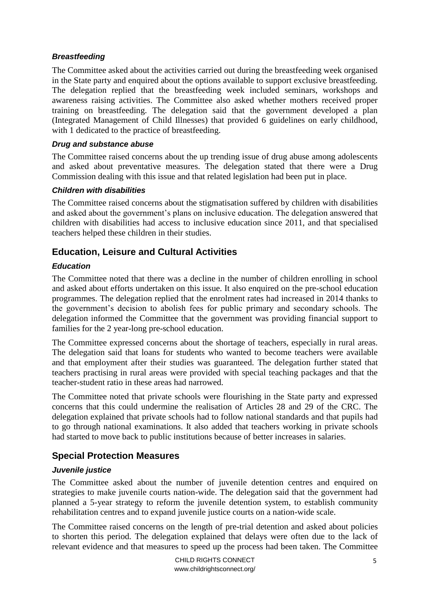### *Breastfeeding*

The Committee asked about the activities carried out during the breastfeeding week organised in the State party and enquired about the options available to support exclusive breastfeeding. The delegation replied that the breastfeeding week included seminars, workshops and awareness raising activities. The Committee also asked whether mothers received proper training on breastfeeding. The delegation said that the government developed a plan (Integrated Management of Child Illnesses) that provided 6 guidelines on early childhood, with 1 dedicated to the practice of breastfeeding.

#### *Drug and substance abuse*

The Committee raised concerns about the up trending issue of drug abuse among adolescents and asked about preventative measures. The delegation stated that there were a Drug Commission dealing with this issue and that related legislation had been put in place.

#### *Children with disabilities*

The Committee raised concerns about the stigmatisation suffered by children with disabilities and asked about the government's plans on inclusive education. The delegation answered that children with disabilities had access to inclusive education since 2011, and that specialised teachers helped these children in their studies.

### <span id="page-4-0"></span>**Education, Leisure and Cultural Activities**

### *Education*

The Committee noted that there was a decline in the number of children enrolling in school and asked about efforts undertaken on this issue. It also enquired on the pre-school education programmes. The delegation replied that the enrolment rates had increased in 2014 thanks to the government's decision to abolish fees for public primary and secondary schools. The delegation informed the Committee that the government was providing financial support to families for the 2 year-long pre-school education.

The Committee expressed concerns about the shortage of teachers, especially in rural areas. The delegation said that loans for students who wanted to become teachers were available and that employment after their studies was guaranteed. The delegation further stated that teachers practising in rural areas were provided with special teaching packages and that the teacher-student ratio in these areas had narrowed.

The Committee noted that private schools were flourishing in the State party and expressed concerns that this could undermine the realisation of Articles 28 and 29 of the CRC. The delegation explained that private schools had to follow national standards and that pupils had to go through national examinations. It also added that teachers working in private schools had started to move back to public institutions because of better increases in salaries.

### <span id="page-4-1"></span>**Special Protection Measures**

### *Juvenile justice*

The Committee asked about the number of juvenile detention centres and enquired on strategies to make juvenile courts nation-wide. The delegation said that the government had planned a 5-year strategy to reform the juvenile detention system, to establish community rehabilitation centres and to expand juvenile justice courts on a nation-wide scale.

The Committee raised concerns on the length of pre-trial detention and asked about policies to shorten this period. The delegation explained that delays were often due to the lack of relevant evidence and that measures to speed up the process had been taken. The Committee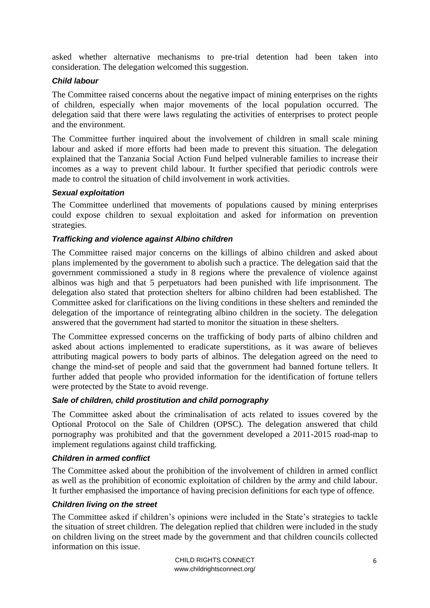asked whether alternative mechanisms to pre-trial detention had been taken into consideration. The delegation welcomed this suggestion.

### *Child labour*

The Committee raised concerns about the negative impact of mining enterprises on the rights of children, especially when major movements of the local population occurred. The delegation said that there were laws regulating the activities of enterprises to protect people and the environment.

The Committee further inquired about the involvement of children in small scale mining labour and asked if more efforts had been made to prevent this situation. The delegation explained that the Tanzania Social Action Fund helped vulnerable families to increase their incomes as a way to prevent child labour. It further specified that periodic controls were made to control the situation of child involvement in work activities.

### *Sexual exploitation*

The Committee underlined that movements of populations caused by mining enterprises could expose children to sexual exploitation and asked for information on prevention strategies.

### *Trafficking and violence against Albino children*

The Committee raised major concerns on the killings of albino children and asked about plans implemented by the government to abolish such a practice. The delegation said that the government commissioned a study in 8 regions where the prevalence of violence against albinos was high and that 5 perpetuators had been punished with life imprisonment. The delegation also stated that protection shelters for albino children had been established. The Committee asked for clarifications on the living conditions in these shelters and reminded the delegation of the importance of reintegrating albino children in the society. The delegation answered that the government had started to monitor the situation in these shelters.

The Committee expressed concerns on the trafficking of body parts of albino children and asked about actions implemented to eradicate superstitions, as it was aware of believes attributing magical powers to body parts of albinos. The delegation agreed on the need to change the mind-set of people and said that the government had banned fortune tellers. It further added that people who provided information for the identification of fortune tellers were protected by the State to avoid revenge.

### *Sale of children, child prostitution and child pornography*

The Committee asked about the criminalisation of acts related to issues covered by the Optional Protocol on the Sale of Children (OPSC). The delegation answered that child pornography was prohibited and that the government developed a 2011-2015 road-map to implement regulations against child trafficking.

### *Children in armed conflict*

The Committee asked about the prohibition of the involvement of children in armed conflict as well as the prohibition of economic exploitation of children by the army and child labour. It further emphasised the importance of having precision definitions for each type of offence.

### *Children living on the street*

The Committee asked if children's opinions were included in the State's strategies to tackle the situation of street children. The delegation replied that children were included in the study on children living on the street made by the government and that children councils collected information on this issue.